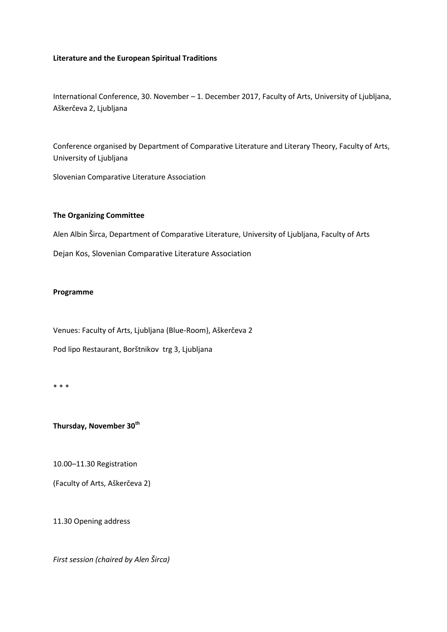## **Literature and the European Spiritual Traditions**

International Conference, 30. November – 1. December 2017, Faculty of Arts, University of Ljubljana, Aškerčeva 2, Ljubljana

Conference organised by Department of Comparative Literature and Literary Theory, Faculty of Arts, University of Ljubljana

Slovenian Comparative Literature Association

## **The Organizing Committee**

Alen Albin Širca, Department of Comparative Literature, University of Ljubljana, Faculty of Arts

Dejan Kos, Slovenian Comparative Literature Association

## **Programme**

Venues: Faculty of Arts, Ljubljana (Blue-Room), Aškerčeva 2

Pod lipo Restaurant, Borštnikov trg 3, Ljubljana

\* \* \*

**Thursday, November 30th**

10.00–11.30 Registration

(Faculty of Arts, Aškerčeva 2)

11.30 Opening address

*First session (chaired by Alen Širca)*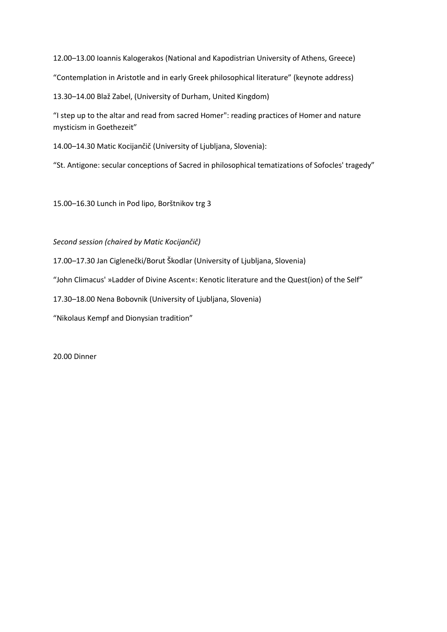12.00–13.00 Ioannis Kalogerakos (National and Kapodistrian University of Athens, Greece) "Contemplation in Aristotle and in early Greek philosophical literature" (keynote address)

13.30–14.00 Blaž Zabel, (University of Durham, United Kingdom)

"I step up to the altar and read from sacred Homer": reading practices of Homer and nature mysticism in Goethezeit"

14.00–14.30 Matic Kocijančič (University of Ljubljana, Slovenia):

"St. Antigone: secular conceptions of Sacred in philosophical tematizations of Sofocles' tragedy"

15.00–16.30 Lunch in Pod lipo, Borštnikov trg 3

*Second session (chaired by Matic Kocijančič)*

17.00–17.30 Jan Ciglenečki/Borut Škodlar (University of Ljubljana, Slovenia)

"John Climacus' »Ladder of Divine Ascent«: Kenotic literature and the Quest(ion) of the Self"

17.30–18.00 Nena Bobovnik (University of Ljubljana, Slovenia)

"Nikolaus Kempf and Dionysian tradition"

20.00 Dinner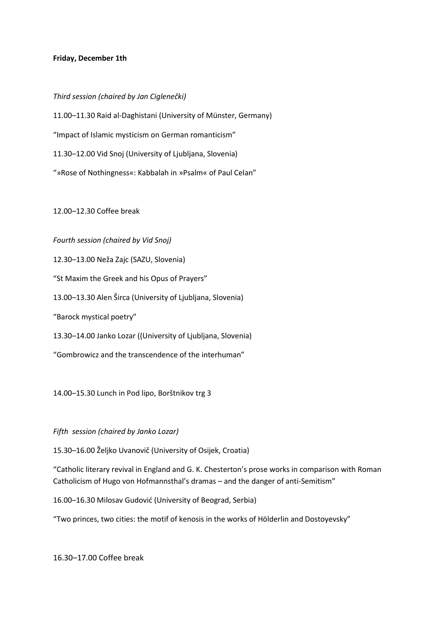## **Friday, December 1th**

*Third session (chaired by Jan Ciglenečki)* 11.00–11.30 Raid al-Daghistani (University of Münster, Germany) "Impact of Islamic mysticism on German romanticism" 11.30–12.00 Vid Snoj (University of Ljubljana, Slovenia) "»Rose of Nothingness«: Kabbalah in »Psalm« of Paul Celan"

12.00–12.30 Coffee break

*Fourth session (chaired by Vid Snoj)*

12.30–13.00 Neža Zajc (SAZU, Slovenia) "St Maxim the Greek and his Opus of Prayers" 13.00–13.30 Alen Širca (University of Ljubljana, Slovenia) "Barock mystical poetry" 13.30–14.00 Janko Lozar ((University of Ljubljana, Slovenia)

"Gombrowicz and the transcendence of the interhuman"

14.00–15.30 Lunch in Pod lipo, Borštnikov trg 3

*Fifth session (chaired by Janko Lozar)*

15.30–16.00 Željko Uvanovič (University of Osijek, Croatia)

"Catholic literary revival in England and G. K. Chesterton's prose works in comparison with Roman Catholicism of Hugo von Hofmannsthal's dramas – and the danger of anti-Semitism"

16.00–16.30 Milosav Gudović (University of Beograd, Serbia)

"Two princes, two cities: the motif of kenosis in the works of Hölderlin and Dostoyevsky"

16.30–17.00 Coffee break